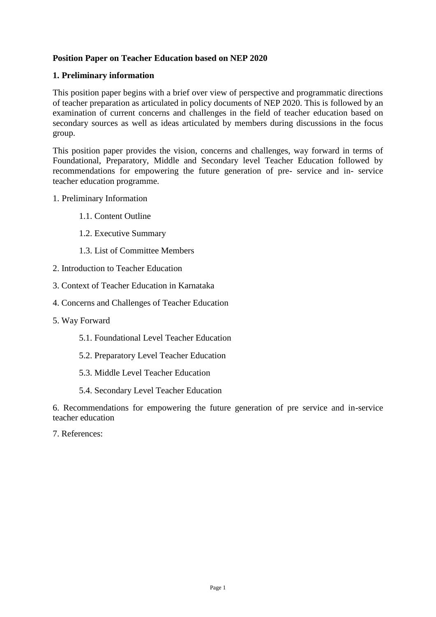# **Position Paper on Teacher Education based on NEP 2020**

# **1. Preliminary information**

This position paper begins with a brief over view of perspective and programmatic directions of teacher preparation as articulated in policy documents of NEP 2020. This is followed by an examination of current concerns and challenges in the field of teacher education based on secondary sources as well as ideas articulated by members during discussions in the focus group.

This position paper provides the vision, concerns and challenges, way forward in terms of Foundational, Preparatory, Middle and Secondary level Teacher Education followed by recommendations for empowering the future generation of pre- service and in- service teacher education programme.

- 1. Preliminary Information
	- 1.1. Content Outline
	- 1.2. Executive Summary
	- 1.3. List of Committee Members
- 2. Introduction to Teacher Education
- 3. Context of Teacher Education in Karnataka
- 4. Concerns and Challenges of Teacher Education
- 5. Way Forward
	- 5.1. Foundational Level Teacher Education
	- 5.2. Preparatory Level Teacher Education
	- 5.3. Middle Level Teacher Education
	- 5.4. Secondary Level Teacher Education

6. Recommendations for empowering the future generation of pre service and in-service teacher education

7. References: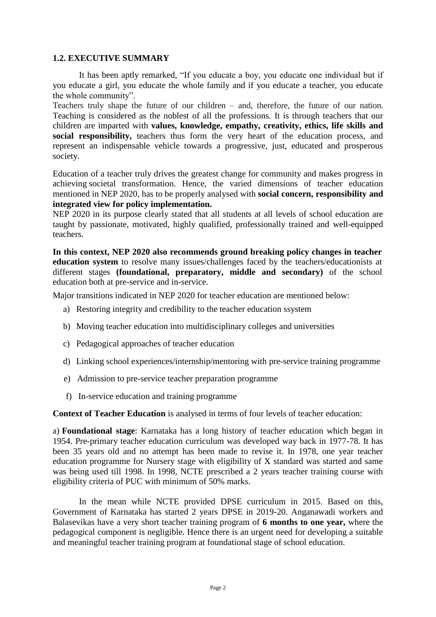## **1.2. EXECUTIVE SUMMARY**

It has been aptly remarked, "If you educate a boy, you educate one individual but if you educate a girl, you educate the whole family and if you educate a teacher, you educate the whole community".

Teachers truly shape the future of our children – and, therefore, the future of our nation. Teaching is considered as the noblest of all the professions. It is through teachers that our children are imparted with **values, knowledge, empathy, creativity, ethics, life skills and**  social responsibility, teachers thus form the very heart of the education process, and represent an indispensable vehicle towards a progressive, just, educated and prosperous society.

Education of a teacher truly drives the greatest change for community and makes progress in achieving societal transformation. Hence, the varied dimensions of teacher education mentioned in NEP 2020, has to be properly analysed with **social concern, responsibility and integrated view for policy implementation.**

NEP 2020 in its purpose clearly stated that all students at all levels of school education are taught by passionate, motivated, highly qualified, professionally trained and well-equipped teachers.

**In this context, NEP 2020 also recommends ground breaking policy changes in teacher education system** to resolve many issues/challenges faced by the teachers/educationists at different stages **(foundational, preparatory, middle and secondary)** of the school education both at pre-service and in-service.

Major transitions indicated in NEP 2020 for teacher education are mentioned below:

- a) Restoring integrity and credibility to the teacher education ssystem
- b) Moving teacher education into multidisciplinary colleges and universities
- c) Pedagogical approaches of teacher education
- d) Linking school experiences/internship/mentoring with pre-service training programme
- e) Admission to pre-service teacher preparation programme
- f) In-service education and training programme

**Context of Teacher Education** is analysed in terms of four levels of teacher education:

a) **Foundational stage**: Karnataka has a long history of teacher education which began in 1954. Pre-primary teacher education curriculum was developed way back in 1977-78. It has been 35 years old and no attempt has been made to revise it. In 1978, one year teacher education programme for Nursery stage with eligibility of X standard was started and same was being used till 1998. In 1998, NCTE prescribed a 2 years teacher training course with eligibility criteria of PUC with minimum of 50% marks.

In the mean while NCTE provided DPSE curriculum in 2015. Based on this, Government of Karnataka has started 2 years DPSE in 2019-20. Anganawadi workers and Balasevikas have a very short teacher training program of **6 months to one year,** where the pedagogical component is negligible. Hence there is an urgent need for developing a suitable and meaningful teacher training program at foundational stage of school education.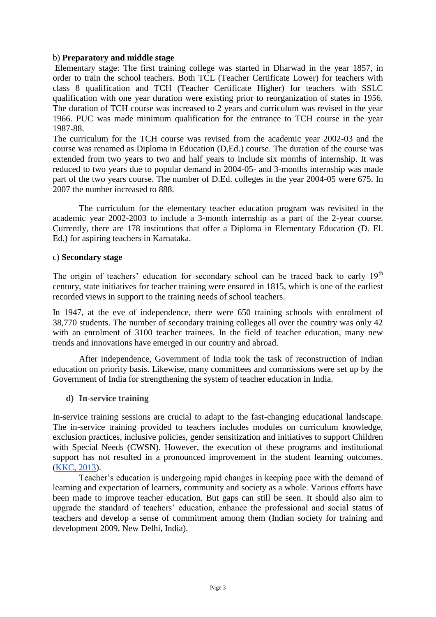#### b) **Preparatory and middle stage**

Elementary stage: The first training college was started in Dharwad in the year 1857, in order to train the school teachers. Both TCL (Teacher Certificate Lower) for teachers with class 8 qualification and TCH (Teacher Certificate Higher) for teachers with SSLC qualification with one year duration were existing prior to reorganization of states in 1956. The duration of TCH course was increased to 2 years and curriculum was revised in the year 1966. PUC was made minimum qualification for the entrance to TCH course in the year 1987-88.

The curriculum for the TCH course was revised from the academic year 2002-03 and the course was renamed as Diploma in Education (D,Ed.) course. The duration of the course was extended from two years to two and half years to include six months of internship. It was reduced to two years due to popular demand in 2004-05- and 3-months internship was made part of the two years course. The number of D.Ed. colleges in the year 2004-05 were 675. In 2007 the number increased to 888.

The curriculum for the elementary teacher education program was revisited in the academic year 2002-2003 to include a 3-month internship as a part of the 2-year course. Currently, there are 178 institutions that offer a Diploma in Elementary Education (D. El. Ed.) for aspiring teachers in Karnataka.

#### c) **Secondary stage**

The origin of teachers' education for secondary school can be traced back to early  $19<sup>th</sup>$ century, state initiatives for teacher training were ensured in 1815, which is one of the earliest recorded views in support to the training needs of school teachers.

In 1947, at the eve of independence, there were 650 training schools with enrolment of 38,770 students. The number of secondary training colleges all over the country was only 42 with an enrolment of 3100 teacher trainees. In the field of teacher education, many new trends and innovations have emerged in our country and abroad.

After independence, Government of India took the task of reconstruction of Indian education on priority basis. Likewise, many committees and commissions were set up by the Government of India for strengthening the system of teacher education in India.

#### **d) In-service training**

In-service training sessions are crucial to adapt to the fast-changing educational landscape. The in-service training provided to teachers includes modules on curriculum knowledge, exclusion practices, inclusive policies, gender sensitization and initiatives to support Children with Special Needs (CWSN). However, the execution of these programs and institutional support has not resulted in a pronounced improvement in the student learning outcomes. [\(KKC, 2013\)](http://ksdl.karnataka.gov.in/jnanaayoga/Archives/KJA%20Reports%20Sep%202008-March%202013/Strengthening%20and%20Empowering%20of%20State%20Education%20Resource%20Centres%20in%20Karnataka.pdf).

Teacher's education is undergoing rapid changes in keeping pace with the demand of learning and expectation of learners, community and society as a whole. Various efforts have been made to improve teacher education. But gaps can still be seen. It should also aim to upgrade the standard of teachers' education, enhance the professional and social status of teachers and develop a sense of commitment among them (Indian society for training and development 2009, New Delhi, India).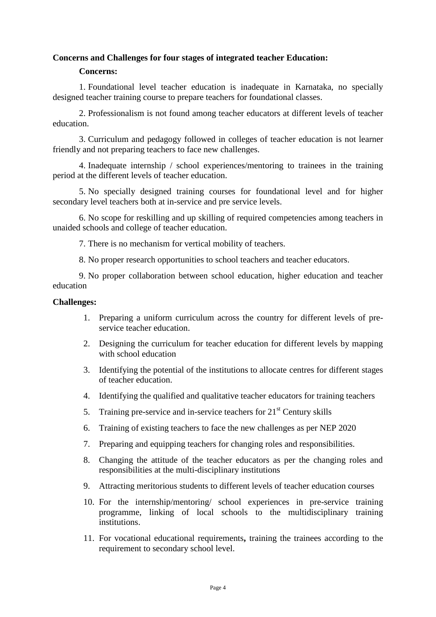# **Concerns and Challenges for four stages of integrated teacher Education:**

#### **Concerns:**

1. Foundational level teacher education is inadequate in Karnataka, no specially designed teacher training course to prepare teachers for foundational classes.

2. Professionalism is not found among teacher educators at different levels of teacher education.

3. Curriculum and pedagogy followed in colleges of teacher education is not learner friendly and not preparing teachers to face new challenges.

4. Inadequate internship / school experiences/mentoring to trainees in the training period at the different levels of teacher education.

5. No specially designed training courses for foundational level and for higher secondary level teachers both at in-service and pre service levels.

6. No scope for reskilling and up skilling of required competencies among teachers in unaided schools and college of teacher education.

7. There is no mechanism for vertical mobility of teachers.

8. No proper research opportunities to school teachers and teacher educators.

9. No proper collaboration between school education, higher education and teacher education

#### **Challenges:**

- 1. Preparing a uniform curriculum across the country for different levels of preservice teacher education.
- 2. Designing the curriculum for teacher education for different levels by mapping with school education
- 3. Identifying the potential of the institutions to allocate centres for different stages of teacher education.
- 4. Identifying the qualified and qualitative teacher educators for training teachers
- 5. Training pre-service and in-service teachers for  $21<sup>st</sup>$  Century skills
- 6. Training of existing teachers to face the new challenges as per NEP 2020
- 7. Preparing and equipping teachers for changing roles and responsibilities.
- 8. Changing the attitude of the teacher educators as per the changing roles and responsibilities at the multi-disciplinary institutions
- 9. Attracting meritorious students to different levels of teacher education courses
- 10. For the internship/mentoring/ school experiences in pre-service training programme, linking of local schools to the multidisciplinary training institutions.
- 11. For vocational educational requirements**,** training the trainees according to the requirement to secondary school level.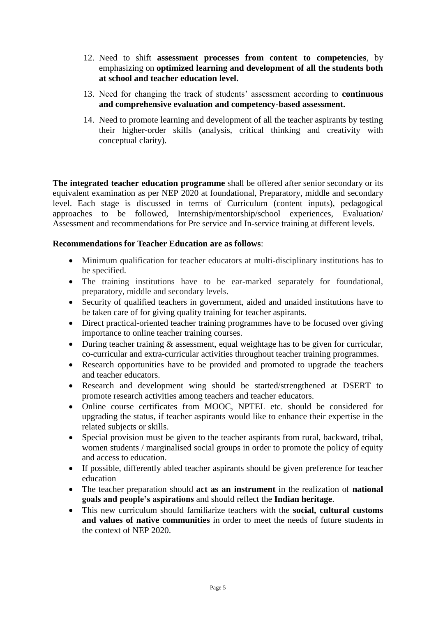- 12. Need to shift **assessment processes from content to competencies**, by emphasizing on **optimized learning and development of all the students both at school and teacher education level.**
- 13. Need for changing the track of students' assessment according to **continuous and comprehensive evaluation and competency-based assessment.**
- 14. Need to promote learning and development of all the teacher aspirants by testing their higher-order skills (analysis, critical thinking and creativity with conceptual clarity).

**The integrated teacher education programme** shall be offered after senior secondary or its equivalent examination as per NEP 2020 at foundational, Preparatory, middle and secondary level. Each stage is discussed in terms of Curriculum (content inputs), pedagogical approaches to be followed, Internship/mentorship/school experiences, Evaluation/ Assessment and recommendations for Pre service and In-service training at different levels.

# **Recommendations for Teacher Education are as follows**:

- Minimum qualification for teacher educators at multi-disciplinary institutions has to be specified.
- The training institutions have to be ear-marked separately for foundational, preparatory, middle and secondary levels.
- Security of qualified teachers in government, aided and unaided institutions have to be taken care of for giving quality training for teacher aspirants.
- Direct practical-oriented teacher training programmes have to be focused over giving importance to online teacher training courses.
- During teacher training & assessment, equal weightage has to be given for curricular, co-curricular and extra-curricular activities throughout teacher training programmes.
- Research opportunities have to be provided and promoted to upgrade the teachers and teacher educators.
- Research and development wing should be started/strengthened at DSERT to promote research activities among teachers and teacher educators.
- Online course certificates from MOOC, NPTEL etc. should be considered for upgrading the status, if teacher aspirants would like to enhance their expertise in the related subjects or skills.
- Special provision must be given to the teacher aspirants from rural, backward, tribal, women students / marginalised social groups in order to promote the policy of equity and access to education.
- If possible, differently abled teacher aspirants should be given preference for teacher education
- The teacher preparation should **act as an instrument** in the realization of **national goals and people's aspirations** and should reflect the **Indian heritage**.
- This new curriculum should familiarize teachers with the **social, cultural customs and values of native communities** in order to meet the needs of future students in the context of NEP 2020.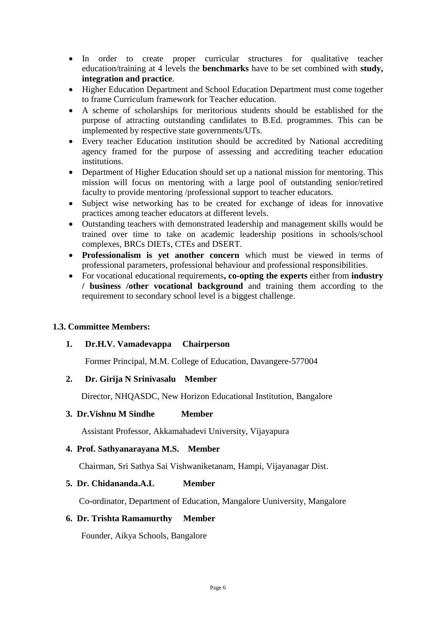- In order to create proper curricular structures for qualitative teacher education/training at 4 levels the **benchmarks** have to be set combined with **study, integration and practice**.
- Higher Education Department and School Education Department must come together to frame Curriculum framework for Teacher education.
- A scheme of scholarships for meritorious students should be established for the purpose of attracting outstanding candidates to B.Ed. programmes. This can be implemented by respective state governments/UTs.
- Every teacher Education institution should be accredited by National accrediting agency framed for the purpose of assessing and accrediting teacher education institutions.
- Department of Higher Education should set up a national mission for mentoring. This mission will focus on mentoring with a large pool of outstanding senior/retired faculty to provide mentoring /professional support to teacher educators.
- Subject wise networking has to be created for exchange of ideas for innovative practices among teacher educators at different levels.
- Outstanding teachers with demonstrated leadership and management skills would be trained over time to take on academic leadership positions in schools/school complexes, BRCs DIETs, CTEs and DSERT.
- **Professionalism is yet another concern** which must be viewed in terms of professional parameters, professional behaviour and professional responsibilities.
- For vocational educational requirements**, co-opting the experts** either from **industry / business /other vocational background** and training them according to the requirement to secondary school level is a biggest challenge.

#### **1.3. Committee Members:**

#### **1. Dr.H.V. Vamadevappa Chairperson**

Former Principal, M.M. College of Education, Davangere-577004

#### **2. Dr. Girija N Srinivasalu Member**

Director, NHQASDC, New Horizon Educational Institution, Bangalore

#### **3. Dr.Vishnu M Sindhe Member**

Assistant Professor, Akkamahadevi University, Vijayapura

#### **4. Prof. Sathyanarayana M.S. Member**

Chairman, Sri Sathya Sai Vishwaniketanam, Hampi, Vijayanagar Dist.

#### **5. Dr. Chidananda.A.L Member**

Co-ordinator, Department of Education, Mangalore Uuniversity, Mangalore

#### **6. Dr. Trishta Ramamurthy Member**

Founder, Aikya Schools, Bangalore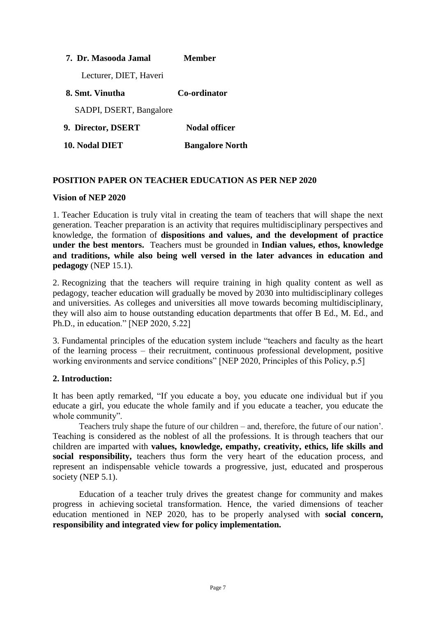| 7. Dr. Masooda Jamal    | <b>Member</b>          |
|-------------------------|------------------------|
| Lecturer, DIET, Haveri  |                        |
| 8. Smt. Vinutha         | Co-ordinator           |
| SADPI, DSERT, Bangalore |                        |
| 9. Director, DSERT      | <b>Nodal officer</b>   |
| 10. Nodal DIET          | <b>Bangalore North</b> |

# **POSITION PAPER ON TEACHER EDUCATION AS PER NEP 2020**

#### **Vision of NEP 2020**

1. Teacher Education is truly vital in creating the team of teachers that will shape the next generation. Teacher preparation is an activity that requires multidisciplinary perspectives and knowledge, the formation of **dispositions and values, and the development of practice under the best mentors.** Teachers must be grounded in **Indian values, ethos, knowledge and traditions, while also being well versed in the later advances in education and pedagogy** (NEP 15.1).

2. Recognizing that the teachers will require training in high quality content as well as pedagogy, teacher education will gradually be moved by 2030 into multidisciplinary colleges and universities. As colleges and universities all move towards becoming multidisciplinary, they will also aim to house outstanding education departments that offer B Ed., M. Ed., and Ph.D., in education." [NEP 2020, 5.22]

3. Fundamental principles of the education system include "teachers and faculty as the heart of the learning process – their recruitment, continuous professional development, positive working environments and service conditions" [NEP 2020, Principles of this Policy, p.5]

#### **2. Introduction:**

It has been aptly remarked, "If you educate a boy, you educate one individual but if you educate a girl, you educate the whole family and if you educate a teacher, you educate the whole community".

Teachers truly shape the future of our children – and, therefore, the future of our nation'. Teaching is considered as the noblest of all the professions. It is through teachers that our children are imparted with **values, knowledge, empathy, creativity, ethics, life skills and**  social responsibility, teachers thus form the very heart of the education process, and represent an indispensable vehicle towards a progressive, just, educated and prosperous society (NEP 5.1).

Education of a teacher truly drives the greatest change for community and makes progress in achieving societal transformation. Hence, the varied dimensions of teacher education mentioned in NEP 2020, has to be properly analysed with **social concern, responsibility and integrated view for policy implementation.**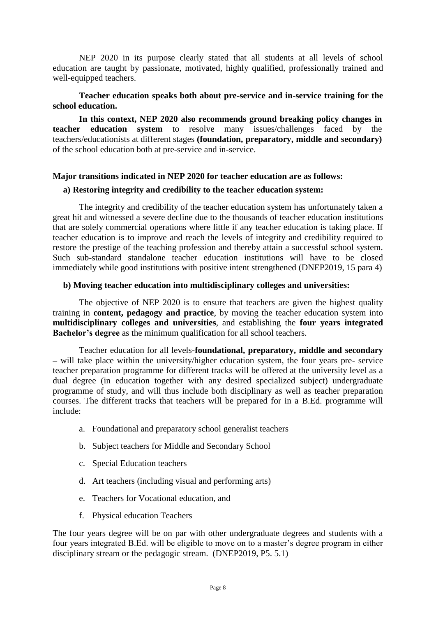NEP 2020 in its purpose clearly stated that all students at all levels of school education are taught by passionate, motivated, highly qualified, professionally trained and well-equipped teachers.

# **Teacher education speaks both about pre-service and in-service training for the school education.**

**In this context, NEP 2020 also recommends ground breaking policy changes in teacher education system** to resolve many issues/challenges faced by the teachers/educationists at different stages **(foundation, preparatory, middle and secondary)**  of the school education both at pre-service and in-service.

#### **Major transitions indicated in NEP 2020 for teacher education are as follows:**

#### **a) Restoring integrity and credibility to the teacher education system:**

The integrity and credibility of the teacher education system has unfortunately taken a great hit and witnessed a severe decline due to the thousands of teacher education institutions that are solely commercial operations where little if any teacher education is taking place. If teacher education is to improve and reach the levels of integrity and credibility required to restore the prestige of the teaching profession and thereby attain a successful school system. Such sub-standard standalone teacher education institutions will have to be closed immediately while good institutions with positive intent strengthened (DNEP2019, 15 para 4)

#### **b) Moving teacher education into multidisciplinary colleges and universities:**

The objective of NEP 2020 is to ensure that teachers are given the highest quality training in **content, pedagogy and practice**, by moving the teacher education system into **multidisciplinary colleges and universities**, and establishing the **four years integrated Bachelor's degree** as the minimum qualification for all school teachers.

Teacher education for all levels-**foundational, preparatory, middle and secondary –** will take place within the university/higher education system, the four years pre- service teacher preparation programme for different tracks will be offered at the university level as a dual degree (in education together with any desired specialized subject) undergraduate programme of study, and will thus include both disciplinary as well as teacher preparation courses. The different tracks that teachers will be prepared for in a B.Ed. programme will include:

- a. Foundational and preparatory school generalist teachers
- b. Subject teachers for Middle and Secondary School
- c. Special Education teachers
- d. Art teachers (including visual and performing arts)
- e. Teachers for Vocational education, and
- f. Physical education Teachers

The four years degree will be on par with other undergraduate degrees and students with a four years integrated B.Ed. will be eligible to move on to a master's degree program in either disciplinary stream or the pedagogic stream. (DNEP2019, P5. 5.1)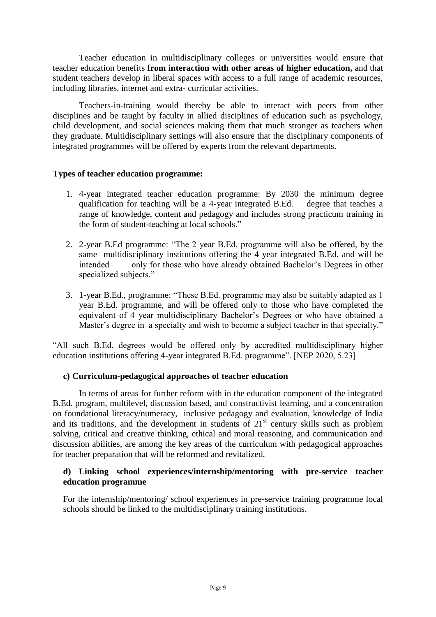Teacher education in multidisciplinary colleges or universities would ensure that teacher education benefits **from interaction with other areas of higher education,** and that student teachers develop in liberal spaces with access to a full range of academic resources, including libraries, internet and extra- curricular activities.

Teachers-in-training would thereby be able to interact with peers from other disciplines and be taught by faculty in allied disciplines of education such as psychology, child development, and social sciences making them that much stronger as teachers when they graduate. Multidisciplinary settings will also ensure that the disciplinary components of integrated programmes will be offered by experts from the relevant departments.

# **Types of teacher education programme:**

- 1. 4-year integrated teacher education programme: By 2030 the minimum degree qualification for teaching will be a 4-year integrated B.Ed. degree that teaches a range of knowledge, content and pedagogy and includes strong practicum training in the form of student-teaching at local schools."
- 2. 2-year B.Ed programme: "The 2 year B.Ed. programme will also be offered, by the same multidisciplinary institutions offering the 4 year integrated B.Ed. and will be intended only for those who have already obtained Bachelor's Degrees in other specialized subjects."
- 3. 1-year B.Ed., programme: "These B.Ed. programme may also be suitably adapted as 1 year B.Ed. programme, and will be offered only to those who have completed the equivalent of 4 year multidisciplinary Bachelor's Degrees or who have obtained a Master's degree in a specialty and wish to become a subject teacher in that specialty."

"All such B.Ed. degrees would be offered only by accredited multidisciplinary higher education institutions offering 4-year integrated B.Ed. programme". [NEP 2020, 5.23]

# **c) Curriculum-pedagogical approaches of teacher education**

In terms of areas for further reform with in the education component of the integrated B.Ed. program, multilevel, discussion based, and constructivist learning, and a concentration on foundational literacy/numeracy, inclusive pedagogy and evaluation, knowledge of India and its traditions, and the development in students of  $21<sup>st</sup>$  century skills such as problem solving, critical and creative thinking, ethical and moral reasoning, and communication and discussion abilities, are among the key areas of the curriculum with pedagogical approaches for teacher preparation that will be reformed and revitalized.

# **d) Linking school experiences/internship/mentoring with pre-service teacher education programme**

For the internship/mentoring/ school experiences in pre-service training programme local schools should be linked to the multidisciplinary training institutions.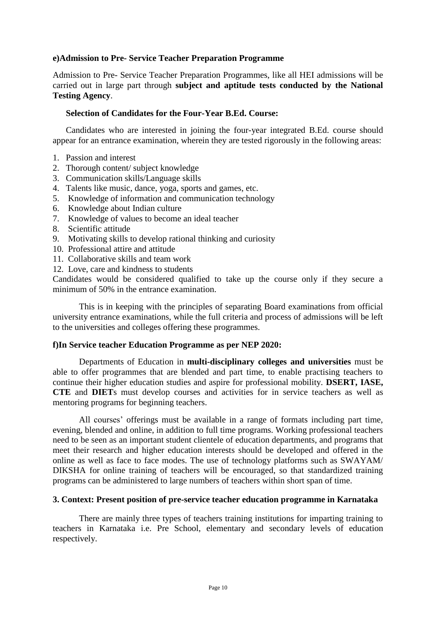## **e)Admission to Pre- Service Teacher Preparation Programme**

Admission to Pre- Service Teacher Preparation Programmes, like all HEI admissions will be carried out in large part through **subject and aptitude tests conducted by the National Testing Agency**.

#### **Selection of Candidates for the Four-Year B.Ed. Course:**

Candidates who are interested in joining the four-year integrated B.Ed. course should appear for an entrance examination, wherein they are tested rigorously in the following areas:

- 1. Passion and interest
- 2. Thorough content/ subject knowledge
- 3. Communication skills/Language skills
- 4. Talents like music, dance, yoga, sports and games, etc.
- 5. Knowledge of information and communication technology
- 6. Knowledge about Indian culture
- 7. Knowledge of values to become an ideal teacher
- 8. Scientific attitude
- 9. Motivating skills to develop rational thinking and curiosity
- 10. Professional attire and attitude
- 11. Collaborative skills and team work
- 12. Love, care and kindness to students

Candidates would be considered qualified to take up the course only if they secure a minimum of 50% in the entrance examination.

This is in keeping with the principles of separating Board examinations from official university entrance examinations, while the full criteria and process of admissions will be left to the universities and colleges offering these programmes.

#### **f)In Service teacher Education Programme as per NEP 2020:**

Departments of Education in **multi-disciplinary colleges and universities** must be able to offer programmes that are blended and part time, to enable practising teachers to continue their higher education studies and aspire for professional mobility. **DSERT, IASE, CTE** and **DIET**s must develop courses and activities for in service teachers as well as mentoring programs for beginning teachers.

All courses' offerings must be available in a range of formats including part time, evening, blended and online, in addition to full time programs. Working professional teachers need to be seen as an important student clientele of education departments, and programs that meet their research and higher education interests should be developed and offered in the online as well as face to face modes. The use of technology platforms such as SWAYAM/ DIKSHA for online training of teachers will be encouraged, so that standardized training programs can be administered to large numbers of teachers within short span of time.

#### **3. Context: Present position of pre-service teacher education programme in Karnataka**

There are mainly three types of teachers training institutions for imparting training to teachers in Karnataka i.e. Pre School, elementary and secondary levels of education respectively.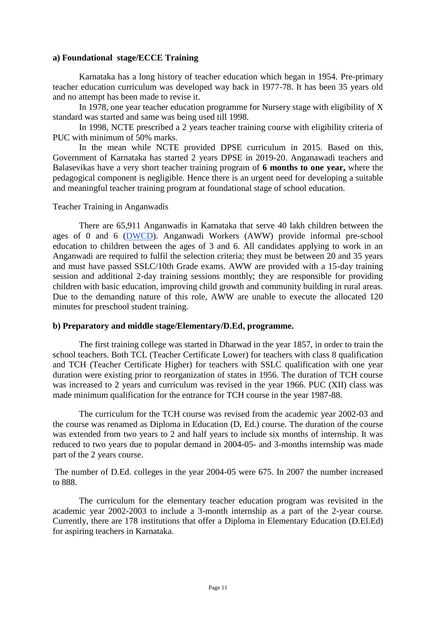#### **a) Foundational stage/ECCE Training**

Karnataka has a long history of teacher education which began in 1954. Pre-primary teacher education curriculum was developed way back in 1977-78. It has been 35 years old and no attempt has been made to revise it.

In 1978, one year teacher education programme for Nursery stage with eligibility of X standard was started and same was being used till 1998.

In 1998, NCTE prescribed a 2 years teacher training course with eligibility criteria of PUC with minimum of 50% marks.

In the mean while NCTE provided DPSE curriculum in 2015. Based on this, Government of Karnataka has started 2 years DPSE in 2019-20. Anganawadi teachers and Balasevikas have a very short teacher training program of **6 months to one year,** where the pedagogical component is negligible. Hence there is an urgent need for developing a suitable and meaningful teacher training program at foundational stage of school education.

#### Teacher Training in Anganwadis

There are 65,911 Anganwadis in Karnataka that serve 40 lakh children between the ages of 0 and 6 [\(DWCD\)](https://dwcd.karnataka.gov.in/info-2/INTEGRATED+CHILD+DEVELOPMENT+SERVICES+SCHEME/en). Anganwadi Workers (AWW) provide informal pre-school education to children between the ages of 3 and 6. All candidates applying to work in an Anganwadi are required to fulfil the selection criteria; they must be between 20 and 35 years and must have passed SSLC/10th Grade exams. AWW are provided with a 15-day training session and additional 2-day training sessions monthly; they are responsible for providing children with basic education, improving child growth and community building in rural areas. Due to the demanding nature of this role, AWW are unable to execute the allocated 120 minutes for preschool student training.

#### **b) Preparatory and middle stage/Elementary/D.Ed, programme.**

The first training college was started in Dharwad in the year 1857, in order to train the school teachers. Both TCL (Teacher Certificate Lower) for teachers with class 8 qualification and TCH (Teacher Certificate Higher) for teachers with SSLC qualification with one year duration were existing prior to reorganization of states in 1956. The duration of TCH course was increased to 2 years and curriculum was revised in the year 1966. PUC (XII) class was made minimum qualification for the entrance for TCH course in the year 1987-88.

The curriculum for the TCH course was revised from the academic year 2002-03 and the course was renamed as Diploma in Education (D, Ed.) course. The duration of the course was extended from two years to 2 and half years to include six months of internship. It was reduced to two years due to popular demand in 2004-05- and 3-months internship was made part of the 2 years course.

The number of D.Ed. colleges in the year 2004-05 were 675. In 2007 the number increased to 888.

The curriculum for the elementary teacher education program was revisited in the academic year 2002-2003 to include a 3-month internship as a part of the 2-year course. Currently, there are 178 institutions that offer a Diploma in Elementary Education (D.El.Ed) for aspiring teachers in Karnataka.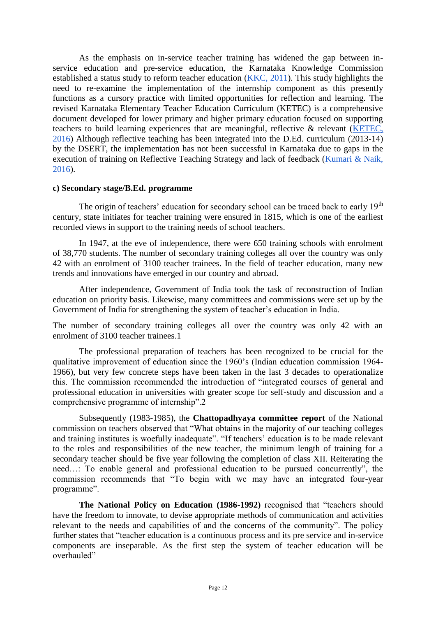As the emphasis on in-service teacher training has widened the gap between inservice education and pre-service education, the Karnataka Knowledge Commission established a status study to reform teacher education [\(KKC, 2011\)](http://14.139.60.153/handle/123456789/5544). This study highlights the need to re-examine the implementation of the internship component as this presently functions as a cursory practice with limited opportunities for reflection and learning. The revised Karnataka Elementary Teacher Education Curriculum (KETEC) is a comprehensive document developed for lower primary and higher primary education focused on supporting teachers to build learning experiences that are meaningful, reflective & relevant [\(KETEC,](http://dsert.kar.nic.in/circulars/te/DElEdCurriculum2016EnglishVersion.pdf)  [2016\)](http://dsert.kar.nic.in/circulars/te/DElEdCurriculum2016EnglishVersion.pdf) Although reflective teaching has been integrated into the D.Ed. curriculum (2013-14) by the DSERT, the implementation has not been successful in Karnataka due to gaps in the execution of training on Reflective Teaching Strategy and lack of feedback [\(Kumari & Naik,](https://files.eric.ed.gov/fulltext/EJ1098289.pdf)  [2016\)](https://files.eric.ed.gov/fulltext/EJ1098289.pdf).

#### **c) Secondary stage/B.Ed. programme**

The origin of teachers' education for secondary school can be traced back to early  $19<sup>th</sup>$ century, state initiates for teacher training were ensured in 1815, which is one of the earliest recorded views in support to the training needs of school teachers.

In 1947, at the eve of independence, there were 650 training schools with enrolment of 38,770 students. The number of secondary training colleges all over the country was only 42 with an enrolment of 3100 teacher trainees. In the field of teacher education, many new trends and innovations have emerged in our country and abroad.

After independence, Government of India took the task of reconstruction of Indian education on priority basis. Likewise, many committees and commissions were set up by the Government of India for strengthening the system of teacher's education in India.

The number of secondary training colleges all over the country was only 42 with an enrolment of 3100 teacher trainees.1

The professional preparation of teachers has been recognized to be crucial for the qualitative improvement of education since the 1960's (Indian education commission 1964- 1966), but very few concrete steps have been taken in the last 3 decades to operationalize this. The commission recommended the introduction of "integrated courses of general and professional education in universities with greater scope for self-study and discussion and a comprehensive programme of internship".2

Subsequently (1983-1985), the **Chattopadhyaya committee report** of the National commission on teachers observed that "What obtains in the majority of our teaching colleges and training institutes is woefully inadequate". "If teachers' education is to be made relevant to the roles and responsibilities of the new teacher, the minimum length of training for a secondary teacher should be five year following the completion of class XII. Reiterating the need…: To enable general and professional education to be pursued concurrently", the commission recommends that "To begin with we may have an integrated four-year programme".

**The National Policy on Education (1986-1992)** recognised that "teachers should have the freedom to innovate, to devise appropriate methods of communication and activities relevant to the needs and capabilities of and the concerns of the community". The policy further states that "teacher education is a continuous process and its pre service and in-service components are inseparable. As the first step the system of teacher education will be overhauled"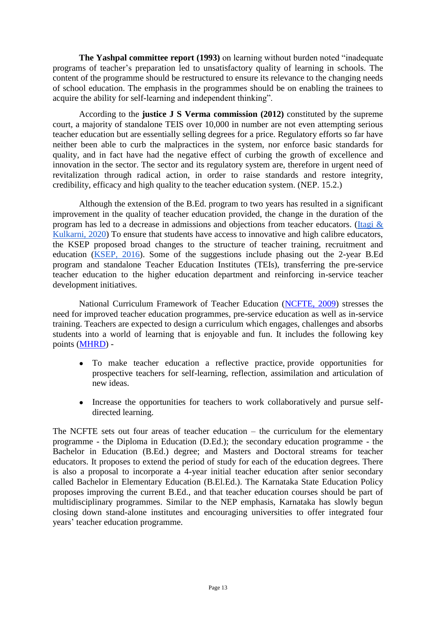**The Yashpal committee report (1993)** on learning without burden noted "inadequate programs of teacher's preparation led to unsatisfactory quality of learning in schools. The content of the programme should be restructured to ensure its relevance to the changing needs of school education. The emphasis in the programmes should be on enabling the trainees to acquire the ability for self-learning and independent thinking".

According to the **justice J S Verma commission (2012)** constituted by the supreme court, a majority of standalone TEIS over 10,000 in number are not even attempting serious teacher education but are essentially selling degrees for a price. Regulatory efforts so far have neither been able to curb the malpractices in the system, nor enforce basic standards for quality, and in fact have had the negative effect of curbing the growth of excellence and innovation in the sector. The sector and its regulatory system are, therefore in urgent need of revitalization through radical action, in order to raise standards and restore integrity, credibility, efficacy and high quality to the teacher education system. (NEP. 15.2.)

Although the extension of the B.Ed. program to two years has resulted in a significant improvement in the quality of teacher education provided, the change in the duration of the program has led to a decrease in admissions and objections from teacher educators. [\(Itagi &](http://shabdbooks.com/gallery/567-june2020.pdf)  [Kulkarni, 2020\)](http://shabdbooks.com/gallery/567-june2020.pdf) To ensure that students have access to innovative and high calibre educators, the KSEP proposed broad changes to the structure of teacher training, recruitment and education [\(KSEP, 2016\)](http://14.139.60.153/bitstream/123456789/12395/1/Karnataka%20State%20Education%20Policy%202016.pdf). Some of the suggestions include phasing out the 2-year B.Ed program and standalone Teacher Education Institutes (TEIs), transferring the pre-service teacher education to the higher education department and reinforcing in-service teacher development initiatives.

National Curriculum Framework of Teacher Education [\(NCFTE, 2009\)](https://docs.google.com/document/d/1HYU11w80Euoe4EYakCQz27iyzuSACUrqWy6j0YWDlLM/edit#heading=h.44m5f9d) stresses the need for improved teacher education programmes, pre-service education as well as in-service training. Teachers are expected to design a curriculum which engages, challenges and absorbs students into a world of learning that is enjoyable and fun. It includes the following key points [\(MHRD\)](https://docs.google.com/document/d/1HYU11w80Euoe4EYakCQz27iyzuSACUrqWy6j0YWDlLM/edit#heading=h.217pygo) -

- To make teacher education a reflective practice, provide opportunities for prospective teachers for self-learning, reflection, assimilation and articulation of new ideas.
- Increase the opportunities for teachers to work collaboratively and pursue selfdirected learning.

The NCFTE sets out four areas of teacher education – the curriculum for the elementary programme - the Diploma in Education (D.Ed.); the secondary education programme - the Bachelor in Education (B.Ed.) degree; and Masters and Doctoral streams for teacher educators. It proposes to extend the period of study for each of the education degrees. There is also a proposal to incorporate a 4-year initial teacher education after senior secondary called Bachelor in Elementary Education (B.El.Ed.). The Karnataka State Education Policy proposes improving the current B.Ed., and that teacher education courses should be part of multidisciplinary programmes. Similar to the NEP emphasis, Karnataka has slowly begun closing down stand-alone institutes and encouraging universities to offer integrated four years' teacher education programme.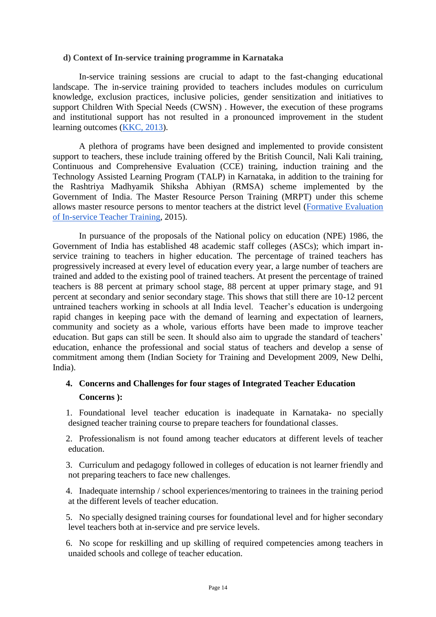#### **d) Context of In-service training programme in Karnataka**

In-service training sessions are crucial to adapt to the fast-changing educational landscape. The in-service training provided to teachers includes modules on curriculum knowledge, exclusion practices, inclusive policies, gender sensitization and initiatives to support Children With Special Needs (CWSN) . However, the execution of these programs and institutional support has not resulted in a pronounced improvement in the student learning outcomes [\(KKC, 2013\)](http://ksdl.karnataka.gov.in/jnanaayoga/Archives/KJA%20Reports%20Sep%202008-March%202013/Strengthening%20and%20Empowering%20of%20State%20Education%20Resource%20Centres%20in%20Karnataka.pdf).

A plethora of programs have been designed and implemented to provide consistent support to teachers, these include training offered by the British Council, Nali Kali training, Continuous and Comprehensive Evaluation (CCE) training, induction training and the Technology Assisted Learning Program (TALP) in Karnataka, in addition to the training for the Rashtriya Madhyamik Shiksha Abhiyan (RMSA) scheme implemented by the Government of India. The Master Resource Person Training (MRPT) under this scheme allows master resource persons to mentor teachers at the district level [\(Formative Evaluation](http://ir.riemysore.ac.in:8080/jspui/bitstream/123456789/1000/1/Formative%20evaluation%20of%20in-service%20teacher%20training-Karnataka.pdf)  [of In-service Teacher Training,](http://ir.riemysore.ac.in:8080/jspui/bitstream/123456789/1000/1/Formative%20evaluation%20of%20in-service%20teacher%20training-Karnataka.pdf) 2015).

In pursuance of the proposals of the National policy on education (NPE) 1986, the Government of India has established 48 academic staff colleges (ASCs); which impart inservice training to teachers in higher education. The percentage of trained teachers has progressively increased at every level of education every year, a large number of teachers are trained and added to the existing pool of trained teachers. At present the percentage of trained teachers is 88 percent at primary school stage, 88 percent at upper primary stage, and 91 percent at secondary and senior secondary stage. This shows that still there are 10-12 percent untrained teachers working in schools at all India level. Teacher's education is undergoing rapid changes in keeping pace with the demand of learning and expectation of learners, community and society as a whole, various efforts have been made to improve teacher education. But gaps can still be seen. It should also aim to upgrade the standard of teachers' education, enhance the professional and social status of teachers and develop a sense of commitment among them (Indian Society for Training and Development 2009, New Delhi, India).

# **4. Concerns and Challenges for four stages of Integrated Teacher Education Concerns ):**

1. Foundational level teacher education is inadequate in Karnataka- no specially designed teacher training course to prepare teachers for foundational classes.

2. Professionalism is not found among teacher educators at different levels of teacher education.

3. Curriculum and pedagogy followed in colleges of education is not learner friendly and not preparing teachers to face new challenges.

4. Inadequate internship / school experiences/mentoring to trainees in the training period at the different levels of teacher education.

5. No specially designed training courses for foundational level and for higher secondary level teachers both at in-service and pre service levels.

6. No scope for reskilling and up skilling of required competencies among teachers in unaided schools and college of teacher education.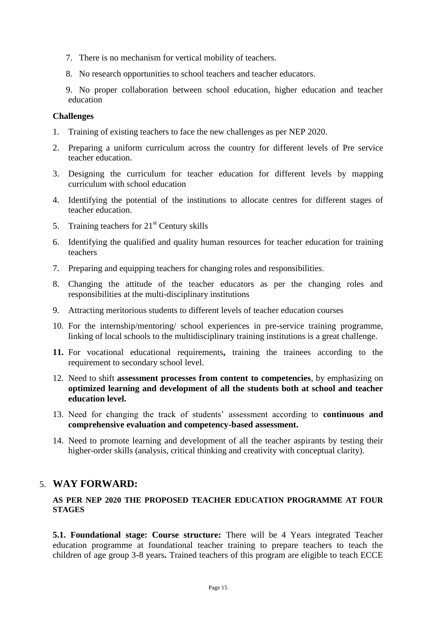- 7. There is no mechanism for vertical mobility of teachers.
- 8. No research opportunities to school teachers and teacher educators.
- 9. No proper collaboration between school education, higher education and teacher education

## **Challenges**

- 1. Training of existing teachers to face the new challenges as per NEP 2020.
- 2. Preparing a uniform curriculum across the country for different levels of Pre service teacher education.
- 3. Designing the curriculum for teacher education for different levels by mapping curriculum with school education
- 4. Identifying the potential of the institutions to allocate centres for different stages of teacher education.
- 5. Training teachers for  $21<sup>st</sup>$  Century skills
- 6. Identifying the qualified and quality human resources for teacher education for training teachers
- 7. Preparing and equipping teachers for changing roles and responsibilities.
- 8. Changing the attitude of the teacher educators as per the changing roles and responsibilities at the multi-disciplinary institutions
- 9. Attracting meritorious students to different levels of teacher education courses
- 10. For the internship/mentoring/ school experiences in pre-service training programme, linking of local schools to the multidisciplinary training institutions is a great challenge.
- **11.** For vocational educational requirements**,** training the trainees according to the requirement to secondary school level.
- 12. Need to shift **assessment processes from content to competencies**, by emphasizing on **optimized learning and development of all the students both at school and teacher education level.**
- 13. Need for changing the track of students' assessment according to **continuous and comprehensive evaluation and competency-based assessment.**
- 14. Need to promote learning and development of all the teacher aspirants by testing their higher-order skills (analysis, critical thinking and creativity with conceptual clarity).

# 5. **WAY FORWARD:**

# **AS PER NEP 2020 THE PROPOSED TEACHER EDUCATION PROGRAMME AT FOUR STAGES**

**5.1. Foundational stage: Course structure:** There will be 4 Years integrated Teacher education programme at foundational teacher training to prepare teachers to teach the children of age group 3-8 years**.** Trained teachers of this program are eligible to teach ECCE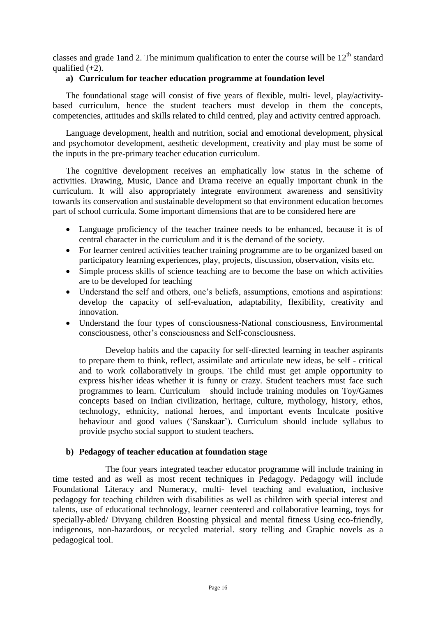classes and grade 1 and 2. The minimum qualification to enter the course will be  $12<sup>th</sup>$  standard qualified  $(+2)$ .

## **a) Curriculum for teacher education programme at foundation level**

The foundational stage will consist of five years of flexible, multi- level, play/activitybased curriculum, hence the student teachers must develop in them the concepts, competencies, attitudes and skills related to child centred, play and activity centred approach.

Language development, health and nutrition, social and emotional development, physical and psychomotor development, aesthetic development, creativity and play must be some of the inputs in the pre-primary teacher education curriculum.

The cognitive development receives an emphatically low status in the scheme of activities. Drawing, Music, Dance and Drama receive an equally important chunk in the curriculum. It will also appropriately integrate environment awareness and sensitivity towards its conservation and sustainable development so that environment education becomes part of school curricula. Some important dimensions that are to be considered here are

- Language proficiency of the teacher trainee needs to be enhanced, because it is of central character in the curriculum and it is the demand of the society.
- For learner centred activities teacher training programme are to be organized based on participatory learning experiences, play, projects, discussion, observation, visits etc.
- Simple process skills of science teaching are to become the base on which activities are to be developed for teaching
- Understand the self and others, one's beliefs, assumptions, emotions and aspirations: develop the capacity of self-evaluation, adaptability, flexibility, creativity and innovation.
- Understand the four types of consciousness-National consciousness, Environmental consciousness, other's consciousness and Self-consciousness.

Develop habits and the capacity for self-directed learning in teacher aspirants to prepare them to think, reflect, assimilate and articulate new ideas, be self - critical and to work collaboratively in groups. The child must get ample opportunity to express his/her ideas whether it is funny or crazy. Student teachers must face such programmes to learn. Curriculum should include training modules on Toy/Games concepts based on Indian civilization, heritage, culture, mythology, history, ethos, technology, ethnicity, national heroes, and important events Inculcate positive behaviour and good values ('Sanskaar'). Curriculum should include syllabus to provide psycho social support to student teachers.

#### **b) Pedagogy of teacher education at foundation stage**

The four years integrated teacher educator programme will include training in time tested and as well as most recent techniques in Pedagogy. Pedagogy will include Foundational Literacy and Numeracy, multi- level teaching and evaluation, inclusive pedagogy for teaching children with disabilities as well as children with special interest and talents, use of educational technology, learner ceentered and collaborative learning, toys for specially-abled/ Divyang children Boosting physical and mental fitness Using eco-friendly, indigenous, non-hazardous, or recycled material. story telling and Graphic novels as a pedagogical tool.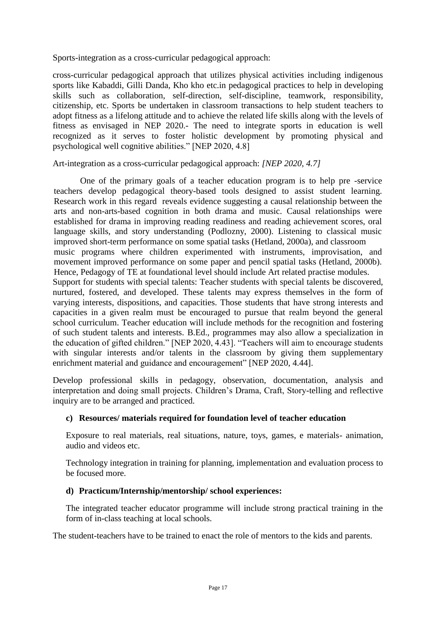Sports-integration as a cross-curricular pedagogical approach:

cross-curricular pedagogical approach that utilizes physical activities including indigenous sports like Kabaddi, Gilli Danda, Kho kho etc.in pedagogical practices to help in developing skills such as collaboration, self-direction, self-discipline, teamwork, responsibility, citizenship, etc. Sports be undertaken in classroom transactions to help student teachers to adopt fitness as a lifelong attitude and to achieve the related life skills along with the levels of fitness as envisaged in NEP 2020.- The need to integrate sports in education is well recognized as it serves to foster holistic development by promoting physical and psychological well cognitive abilities." [NEP 2020, 4.8]

Art-integration as a cross-curricular pedagogical approach: *[NEP 2020, 4.7]* 

One of the primary goals of a teacher education program is to help pre -service teachers develop pedagogical theory-based tools designed to assist student learning. Research work in this regard reveals evidence suggesting a causal relationship between the arts and non-arts-based cognition in both drama and music. Causal relationships were established for drama in improving reading readiness and reading achievement scores, oral language skills, and story understanding (Podlozny, 2000). Listening to classical music improved short-term performance on some spatial tasks (Hetland, 2000a), and classroom music programs where children experimented with instruments, improvisation, and movement improved performance on some paper and pencil spatial tasks (Hetland, 2000b). Hence, Pedagogy of TE at foundational level should include Art related practise modules. Support for students with special talents: Teacher students with special talents be discovered, nurtured, fostered, and developed. These talents may express themselves in the form of varying interests, dispositions, and capacities. Those students that have strong interests and capacities in a given realm must be encouraged to pursue that realm beyond the general school curriculum. Teacher education will include methods for the recognition and fostering of such student talents and interests. B.Ed., programmes may also allow a specialization in the education of gifted children." [NEP 2020, 4.43]. "Teachers will aim to encourage students with singular interests and/or talents in the classroom by giving them supplementary enrichment material and guidance and encouragement" [NEP 2020, 4.44].

Develop professional skills in pedagogy, observation, documentation, analysis and interpretation and doing small projects. Children's Drama, Craft, Story-telling and reflective inquiry are to be arranged and practiced.

# **c) Resources/ materials required for foundation level of teacher education**

Exposure to real materials, real situations, nature, toys, games, e materials- animation, audio and videos etc.

Technology integration in training for planning, implementation and evaluation process to be focused more.

# **d) Practicum/Internship/mentorship/ school experiences:**

The integrated teacher educator programme will include strong practical training in the form of in-class teaching at local schools.

The student-teachers have to be trained to enact the role of mentors to the kids and parents.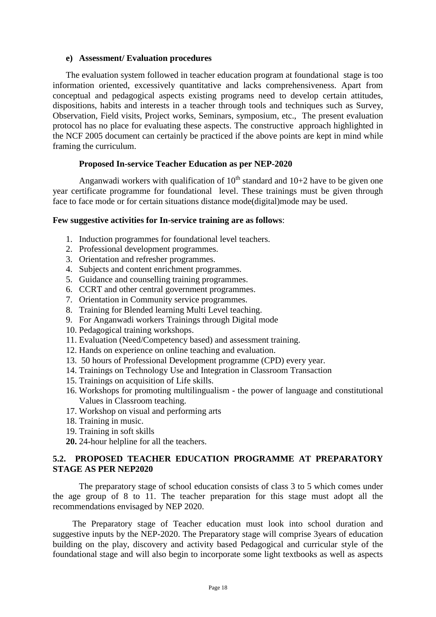#### **e) Assessment/ Evaluation procedures**

The evaluation system followed in teacher education program at foundational stage is too information oriented, excessively quantitative and lacks comprehensiveness. Apart from conceptual and pedagogical aspects existing programs need to develop certain attitudes, dispositions, habits and interests in a teacher through tools and techniques such as Survey, Observation, Field visits, Project works, Seminars, symposium, etc., The present evaluation protocol has no place for evaluating these aspects. The constructive approach highlighted in the NCF 2005 document can certainly be practiced if the above points are kept in mind while framing the curriculum.

#### **Proposed In-service Teacher Education as per NEP-2020**

Anganwadi workers with qualification of  $10^{th}$  standard and  $10+2$  have to be given one year certificate programme for foundational level. These trainings must be given through face to face mode or for certain situations distance mode(digital)mode may be used.

#### **Few suggestive activities for In-service training are as follows**:

- 1. Induction programmes for foundational level teachers.
- 2. Professional development programmes.
- 3. Orientation and refresher programmes.
- 4. Subjects and content enrichment programmes.
- 5. Guidance and counselling training programmes.
- 6. CCRT and other central government programmes.
- 7. Orientation in Community service programmes.
- 8. Training for Blended learning Multi Level teaching.
- 9. For Anganwadi workers Trainings through Digital mode
- 10. Pedagogical training workshops.
- 11. Evaluation (Need/Competency based) and assessment training.
- 12. Hands on experience on online teaching and evaluation.
- 13. 50 hours of Professional Development programme (CPD) every year.
- 14. Trainings on Technology Use and Integration in Classroom Transaction
- 15. Trainings on acquisition of Life skills.
- 16. Workshops for promoting multilingualism the power of language and constitutional Values in Classroom teaching.
- 17. Workshop on visual and performing arts
- 18. Training in music.
- 19. Training in soft skills
- **20.** 24-hour helpline for all the teachers.

# **5.2. PROPOSED TEACHER EDUCATION PROGRAMME AT PREPARATORY STAGE AS PER NEP2020**

The preparatory stage of school education consists of class 3 to 5 which comes under the age group of 8 to 11. The teacher preparation for this stage must adopt all the recommendations envisaged by NEP 2020.

 The Preparatory stage of Teacher education must look into school duration and suggestive inputs by the NEP-2020. The Preparatory stage will comprise 3years of education building on the play, discovery and activity based Pedagogical and curricular style of the foundational stage and will also begin to incorporate some light textbooks as well as aspects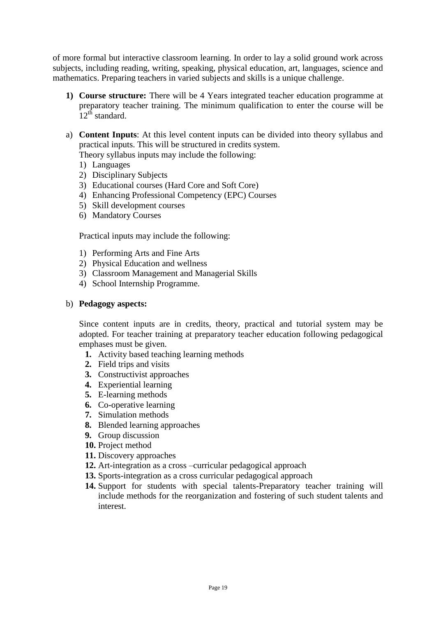of more formal but interactive classroom learning. In order to lay a solid ground work across subjects, including reading, writing, speaking, physical education, art, languages, science and mathematics. Preparing teachers in varied subjects and skills is a unique challenge.

- **1) Course structure:** There will be 4 Years integrated teacher education programme at preparatory teacher training. The minimum qualification to enter the course will be  $12^{th}$  standard.
- a) **Content Inputs**: At this level content inputs can be divided into theory syllabus and practical inputs. This will be structured in credits system.

Theory syllabus inputs may include the following:

- 1) Languages
- 2) Disciplinary Subjects
- 3) Educational courses (Hard Core and Soft Core)
- 4) Enhancing Professional Competency (EPC) Courses
- 5) Skill development courses
- 6) Mandatory Courses

Practical inputs may include the following:

- 1) Performing Arts and Fine Arts
- 2) Physical Education and wellness
- 3) Classroom Management and Managerial Skills
- 4) School Internship Programme.

#### b) **Pedagogy aspects:**

Since content inputs are in credits, theory, practical and tutorial system may be adopted. For teacher training at preparatory teacher education following pedagogical emphases must be given.

- **1.** Activity based teaching learning methods
- **2.** Field trips and visits
- **3.** Constructivist approaches
- **4.** Experiential learning
- **5.** E-learning methods
- **6.** Co-operative learning
- **7.** Simulation methods
- **8.** Blended learning approaches
- **9.** Group discussion
- **10.** Project method
- **11.** Discovery approaches
- **12.** Art-integration as a cross –curricular pedagogical approach
- **13.** Sports-integration as a cross curricular pedagogical approach
- **14.** Support for students with special talents-Preparatory teacher training will include methods for the reorganization and fostering of such student talents and interest.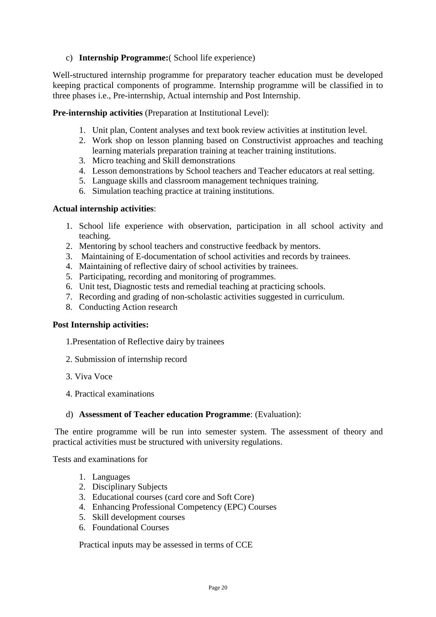# c) **Internship Programme:**( School life experience)

Well-structured internship programme for preparatory teacher education must be developed keeping practical components of programme. Internship programme will be classified in to three phases i.e., Pre-internship, Actual internship and Post Internship.

**Pre-internship activities** (Preparation at Institutional Level):

- 1. Unit plan, Content analyses and text book review activities at institution level.
- 2. Work shop on lesson planning based on Constructivist approaches and teaching learning materials preparation training at teacher training institutions.
- 3. Micro teaching and Skill demonstrations
- 4. Lesson demonstrations by School teachers and Teacher educators at real setting.
- 5. Language skills and classroom management techniques training.
- 6. Simulation teaching practice at training institutions.

#### **Actual internship activities**:

- 1. School life experience with observation, participation in all school activity and teaching.
- 2. Mentoring by school teachers and constructive feedback by mentors.
- 3. Maintaining of E-documentation of school activities and records by trainees.
- 4. Maintaining of reflective dairy of school activities by trainees.
- 5. Participating, recording and monitoring of programmes.
- 6. Unit test, Diagnostic tests and remedial teaching at practicing schools.
- 7. Recording and grading of non-scholastic activities suggested in curriculum.
- 8. Conducting Action research

#### **Post Internship activities:**

- 1.Presentation of Reflective dairy by trainees
- 2. Submission of internship record
- 3. Viva Voce
- 4. Practical examinations

#### d) **Assessment of Teacher education Programme**: (Evaluation):

The entire programme will be run into semester system. The assessment of theory and practical activities must be structured with university regulations.

Tests and examinations for

- 1. Languages
- 2. Disciplinary Subjects
- 3. Educational courses (card core and Soft Core)
- 4. Enhancing Professional Competency (EPC) Courses
- 5. Skill development courses
- 6. Foundational Courses

Practical inputs may be assessed in terms of CCE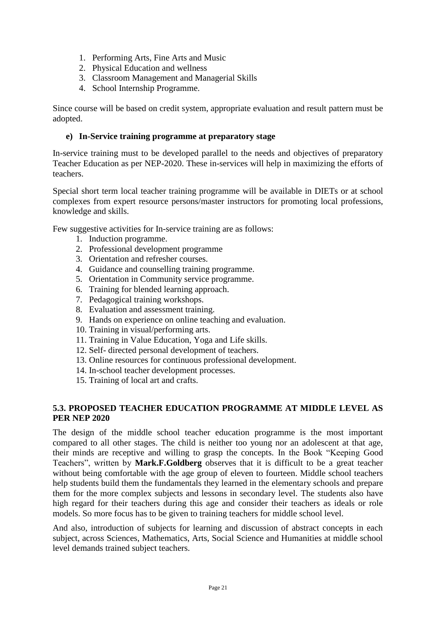- 1. Performing Arts, Fine Arts and Music
- 2. Physical Education and wellness
- 3. Classroom Management and Managerial Skills
- 4. School Internship Programme.

Since course will be based on credit system, appropriate evaluation and result pattern must be adopted.

## **e) In-Service training programme at preparatory stage**

In-service training must to be developed parallel to the needs and objectives of preparatory Teacher Education as per NEP-2020. These in-services will help in maximizing the efforts of teachers.

Special short term local teacher training programme will be available in DIETs or at school complexes from expert resource persons/master instructors for promoting local professions, knowledge and skills.

Few suggestive activities for In-service training are as follows:

- 1. Induction programme.
- 2. Professional development programme
- 3. Orientation and refresher courses.
- 4. Guidance and counselling training programme.
- 5. Orientation in Community service programme.
- 6. Training for blended learning approach.
- 7. Pedagogical training workshops.
- 8. Evaluation and assessment training.
- 9. Hands on experience on online teaching and evaluation.
- 10. Training in visual/performing arts.
- 11. Training in Value Education, Yoga and Life skills.
- 12. Self- directed personal development of teachers.
- 13. Online resources for continuous professional development.
- 14. In-school teacher development processes.
- 15. Training of local art and crafts.

# **5.3. PROPOSED TEACHER EDUCATION PROGRAMME AT MIDDLE LEVEL AS PER NEP 2020**

The design of the middle school teacher education programme is the most important compared to all other stages. The child is neither too young nor an adolescent at that age, their minds are receptive and willing to grasp the concepts. In the Book "Keeping Good Teachers", written by **Mark.F.Goldberg** observes that it is difficult to be a great teacher without being comfortable with the age group of eleven to fourteen. Middle school teachers help students build them the fundamentals they learned in the elementary schools and prepare them for the more complex subjects and lessons in secondary level. The students also have high regard for their teachers during this age and consider their teachers as ideals or role models. So more focus has to be given to training teachers for middle school level.

And also, introduction of subjects for learning and discussion of abstract concepts in each subject, across Sciences, Mathematics, Arts, Social Science and Humanities at middle school level demands trained subject teachers.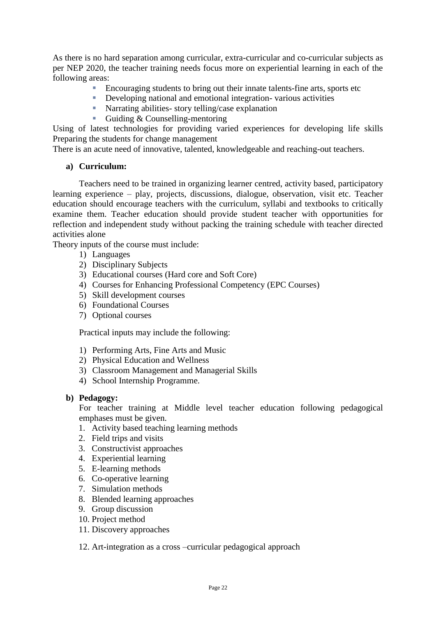As there is no hard separation among curricular, extra-curricular and co-curricular subjects as per NEP 2020, the teacher training needs focus more on experiential learning in each of the following areas:

- Encouraging students to bring out their innate talents-fine arts, sports etc
- Developing national and emotional integration- various activities
- **Narrating abilities-** story telling/case explanation
- Guiding & Counselling-mentoring

Using of latest technologies for providing varied experiences for developing life skills Preparing the students for change management

There is an acute need of innovative, talented, knowledgeable and reaching-out teachers.

# **a) Curriculum:**

Teachers need to be trained in organizing learner centred, activity based, participatory learning experience – play, projects, discussions, dialogue, observation, visit etc. Teacher education should encourage teachers with the curriculum, syllabi and textbooks to critically examine them. Teacher education should provide student teacher with opportunities for reflection and independent study without packing the training schedule with teacher directed activities alone

Theory inputs of the course must include:

- 1) Languages
- 2) Disciplinary Subjects
- 3) Educational courses (Hard core and Soft Core)
- 4) Courses for Enhancing Professional Competency (EPC Courses)
- 5) Skill development courses
- 6) Foundational Courses
- 7) Optional courses

Practical inputs may include the following:

- 1) Performing Arts, Fine Arts and Music
- 2) Physical Education and Wellness
- 3) Classroom Management and Managerial Skills
- 4) School Internship Programme.

#### **b) Pedagogy:**

For teacher training at Middle level teacher education following pedagogical emphases must be given.

- 1. Activity based teaching learning methods
- 2. Field trips and visits
- 3. Constructivist approaches
- 4. Experiential learning
- 5. E-learning methods
- 6. Co-operative learning
- 7. Simulation methods
- 8. Blended learning approaches
- 9. Group discussion
- 10. Project method
- 11. Discovery approaches

12. Art-integration as a cross –curricular pedagogical approach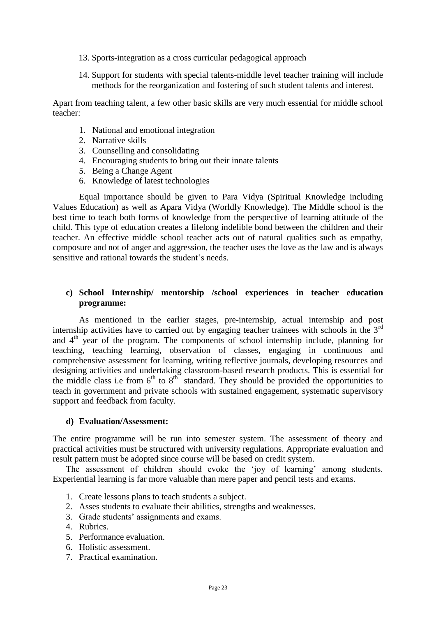- 13. Sports-integration as a cross curricular pedagogical approach
- 14. Support for students with special talents-middle level teacher training will include methods for the reorganization and fostering of such student talents and interest.

Apart from teaching talent, a few other basic skills are very much essential for middle school teacher:

- 1. National and emotional integration
- 2. Narrative skills
- 3. Counselling and consolidating
- 4. Encouraging students to bring out their innate talents
- 5. Being a Change Agent
- 6. Knowledge of latest technologies

Equal importance should be given to Para Vidya (Spiritual Knowledge including Values Education) as well as Apara Vidya (Worldly Knowledge). The Middle school is the best time to teach both forms of knowledge from the perspective of learning attitude of the child. This type of education creates a lifelong indelible bond between the children and their teacher. An effective middle school teacher acts out of natural qualities such as empathy, composure and not of anger and aggression, the teacher uses the love as the law and is always sensitive and rational towards the student's needs.

## **c) School Internship/ mentorship /school experiences in teacher education programme:**

As mentioned in the earlier stages, pre-internship, actual internship and post internship activities have to carried out by engaging teacher trainees with schools in the  $3<sup>rd</sup>$ and  $4<sup>th</sup>$  year of the program. The components of school internship include, planning for teaching, teaching learning, observation of classes, engaging in continuous and comprehensive assessment for learning, writing reflective journals, developing resources and designing activities and undertaking classroom-based research products. This is essential for the middle class i.e from  $6<sup>th</sup>$  to  $8<sup>th</sup>$  standard. They should be provided the opportunities to teach in government and private schools with sustained engagement, systematic supervisory support and feedback from faculty.

#### **d) Evaluation/Assessment:**

The entire programme will be run into semester system. The assessment of theory and practical activities must be structured with university regulations. Appropriate evaluation and result pattern must be adopted since course will be based on credit system.

The assessment of children should evoke the 'joy of learning' among students. Experiential learning is far more valuable than mere paper and pencil tests and exams.

- 1. Create lessons plans to teach students a subject.
- 2. Asses students to evaluate their abilities, strengths and weaknesses.
- 3. Grade students' assignments and exams.
- 4. Rubrics.
- 5. Performance evaluation.
- 6. Holistic assessment.
- 7. Practical examination.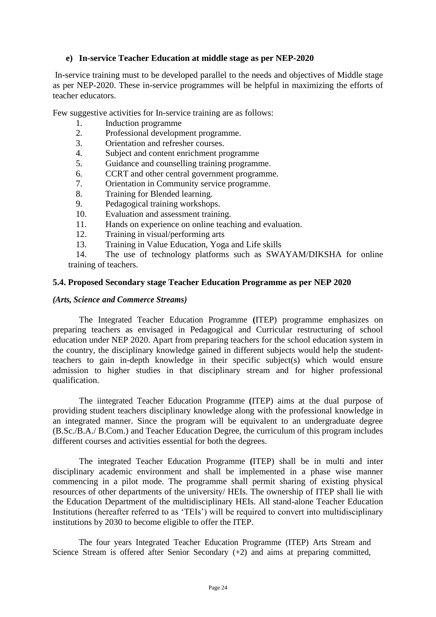# **e) In-service Teacher Education at middle stage as per NEP-2020**

In-service training must to be developed parallel to the needs and objectives of Middle stage as per NEP-2020. These in-service programmes will be helpful in maximizing the efforts of teacher educators.

Few suggestive activities for In-service training are as follows:

- 1. Induction programme
- 2. Professional development programme.
- 3. Orientation and refresher courses.
- 4. Subject and content enrichment programme
- 5. Guidance and counselling training programme.
- 6. CCRT and other central government programme.
- 7. Orientation in Community service programme.
- 8. Training for Blended learning.
- 9. Pedagogical training workshops.
- 10. Evaluation and assessment training.
- 11. Hands on experience on online teaching and evaluation.
- 12. Training in visual/performing arts
- 13. Training in Value Education, Yoga and Life skills

14. The use of technology platforms such as SWAYAM/DIKSHA for online training of teachers.

#### **5.4. Proposed Secondary stage Teacher Education Programme as per NEP 2020**

#### *(Arts, Science and Commerce Streams)*

The Integrated Teacher Education Programme **(**ITEP) programme emphasizes on preparing teachers as envisaged in Pedagogical and Curricular restructuring of school education under NEP 2020. Apart from preparing teachers for the school education system in the country, the disciplinary knowledge gained in different subjects would help the studentteachers to gain in-depth knowledge in their specific subject(s) which would ensure admission to higher studies in that disciplinary stream and for higher professional qualification.

The iintegrated Teacher Education Programme **(**ITEP) aims at the dual purpose of providing student teachers disciplinary knowledge along with the professional knowledge in an integrated manner. Since the program will be equivalent to an undergraduate degree (B.Sc./B.A./ B.Com.) and Teacher Education Degree, the curriculum of this program includes different courses and activities essential for both the degrees.

The integrated Teacher Education Programme **(**ITEP) shall be in multi and inter disciplinary academic environment and shall be implemented in a phase wise manner commencing in a pilot mode. The programme shall permit sharing of existing physical resources of other departments of the university/ HEIs. The ownership of ITEP shall lie with the Education Department of the multidisciplinary HEIs. All stand-alone Teacher Education Institutions (hereafter referred to as 'TEIs') will be required to convert into multidisciplinary institutions by 2030 to become eligible to offer the ITEP.

The four years Integrated Teacher Education Programme (ITEP) Arts Stream and Science Stream is offered after Senior Secondary (+2) and aims at preparing committed,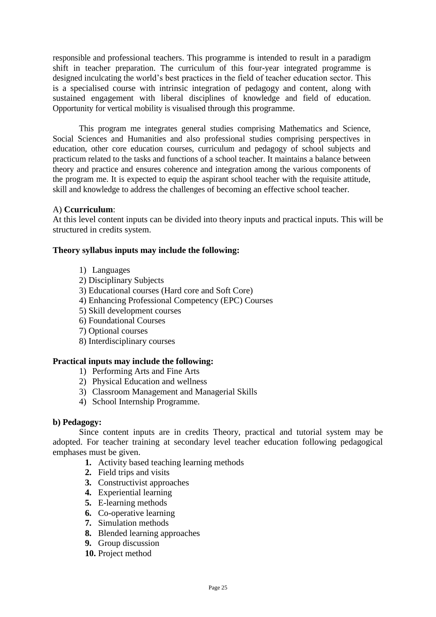responsible and professional teachers. This programme is intended to result in a paradigm shift in teacher preparation. The curriculum of this four-year integrated programme is designed inculcating the world's best practices in the field of teacher education sector. This is a specialised course with intrinsic integration of pedagogy and content, along with sustained engagement with liberal disciplines of knowledge and field of education. Opportunity for vertical mobility is visualised through this programme.

This program me integrates general studies comprising Mathematics and Science, Social Sciences and Humanities and also professional studies comprising perspectives in education, other core education courses, curriculum and pedagogy of school subjects and practicum related to the tasks and functions of a school teacher. It maintains a balance between theory and practice and ensures coherence and integration among the various components of the program me. It is expected to equip the aspirant school teacher with the requisite attitude, skill and knowledge to address the challenges of becoming an effective school teacher.

# A) **Ccurriculum**:

At this level content inputs can be divided into theory inputs and practical inputs. This will be structured in credits system.

#### **Theory syllabus inputs may include the following:**

- 1) Languages
- 2) Disciplinary Subjects
- 3) Educational courses (Hard core and Soft Core)
- 4) Enhancing Professional Competency (EPC) Courses
- 5) Skill development courses
- 6) Foundational Courses
- 7) Optional courses
- 8) Interdisciplinary courses

#### **Practical inputs may include the following:**

- 1) Performing Arts and Fine Arts
- 2) Physical Education and wellness
- 3) Classroom Management and Managerial Skills
- 4) School Internship Programme.

#### **b) Pedagogy:**

Since content inputs are in credits Theory, practical and tutorial system may be adopted. For teacher training at secondary level teacher education following pedagogical emphases must be given.

- **1.** Activity based teaching learning methods
- **2.** Field trips and visits
- **3.** Constructivist approaches
- **4.** Experiential learning
- **5.** E-learning methods
- **6.** Co-operative learning
- **7.** Simulation methods
- **8.** Blended learning approaches
- **9.** Group discussion
- **10.** Project method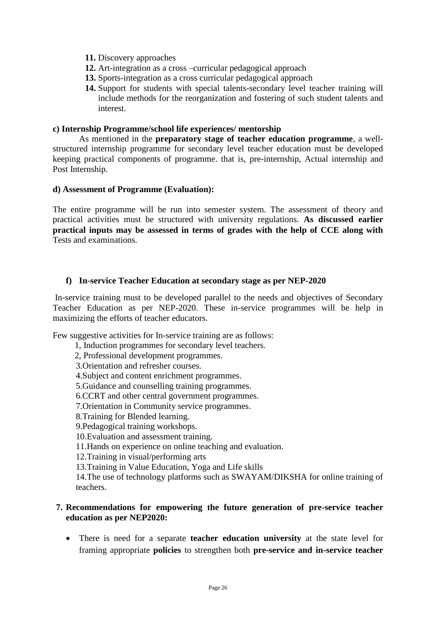- **11.** Discovery approaches
- **12.** Art-integration as a cross –curricular pedagogical approach
- **13.** Sports-integration as a cross curricular pedagogical approach
- **14.** Support for students with special talents-secondary level teacher training will include methods for the reorganization and fostering of such student talents and interest.

#### **c) Internship Programme/school life experiences/ mentorship**

As mentioned in the **preparatory stage of teacher education programme**, a wellstructured internship programme for secondary level teacher education must be developed keeping practical components of programme. that is, pre-internship, Actual internship and Post Internship.

#### **d) Assessment of Programme (Evaluation):**

The entire programme will be run into semester system. The assessment of theory and practical activities must be structured with university regulations. **As discussed earlier practical inputs may be assessed in terms of grades with the help of CCE along with**  Tests and examinations.

#### **f) In-service Teacher Education at secondary stage as per NEP-2020**

In-service training must to be developed parallel to the needs and objectives of Secondary Teacher Education as per NEP-2020. These in-service programmes will be help in maximizing the efforts of teacher educators.

Few suggestive activities for In-service training are as follows:

- 1, Induction programmes for secondary level teachers.
- 2, Professional development programmes.
- 3.Orientation and refresher courses.
- 4.Subject and content enrichment programmes.
- 5.Guidance and counselling training programmes.
- 6.CCRT and other central government programmes.
- 7.Orientation in Community service programmes.
- 8.Training for Blended learning.
- 9.Pedagogical training workshops.
- 10.Evaluation and assessment training.
- 11.Hands on experience on online teaching and evaluation.
- 12.Training in visual/performing arts
- 13.Training in Value Education, Yoga and Life skills
- 14.The use of technology platforms such as SWAYAM/DIKSHA for online training of teachers.

# **7. Recommendations for empowering the future generation of pre-service teacher education as per NEP2020:**

 There is need for a separate **teacher education university** at the state level for framing appropriate **policies** to strengthen both **pre-service and in-service teacher**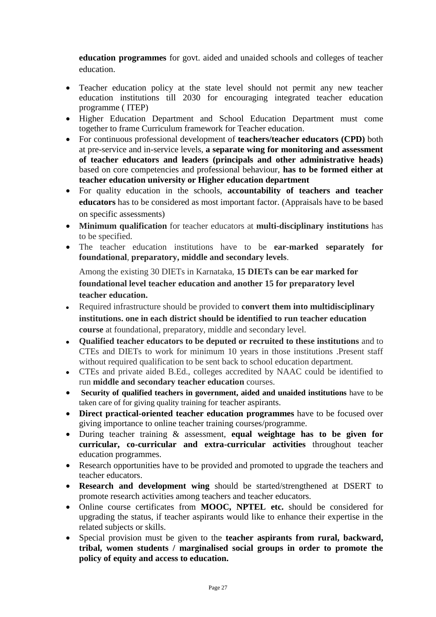**education programmes** for govt. aided and unaided schools and colleges of teacher education.

- Teacher education policy at the state level should not permit any new teacher education institutions till 2030 for encouraging integrated teacher education programme ( ITEP)
- Higher Education Department and School Education Department must come together to frame Curriculum framework for Teacher education.
- For continuous professional development of **teachers/teacher educators (CPD)** both at pre-service and in-service levels, **a separate wing for monitoring and assessment of teacher educators and leaders (principals and other administrative heads)**  based on core competencies and professional behaviour, **has to be formed either at teacher education university or Higher education department**
- For quality education in the schools, **accountability of teachers and teacher educators** has to be considered as most important factor. (Appraisals have to be based on specific assessments)
- **Minimum qualification** for teacher educators at **multi-disciplinary institutions** has to be specified.
- The teacher education institutions have to be **ear-marked separately for foundational**, **preparatory, middle and secondary levels**.

Among the existing 30 DIETs in Karnataka, **15 DIETs can be ear marked for foundational level teacher education and another 15 for preparatory level teacher education.** 

- Required infrastructure should be provided to **convert them into multidisciplinary institutions. one in each district should be identified to run teacher education course** at foundational, preparatory, middle and secondary level.
- **Qualified teacher educators to be deputed or recruited to these institutions** and to CTEs and DIETs to work for minimum 10 years in those institutions .Present staff without required qualification to be sent back to school education department.
- CTEs and private aided B.Ed., colleges accredited by NAAC could be identified to run **middle and secondary teacher education** courses.
- **Security of qualified teachers in government, aided and unaided institutions** have to be taken care of for giving quality training for teacher aspirants.
- **Direct practical-oriented teacher education programmes** have to be focused over giving importance to online teacher training courses/programme.
- During teacher training & assessment, **equal weightage has to be given for curricular, co-curricular and extra-curricular activities** throughout teacher education programmes.
- Research opportunities have to be provided and promoted to upgrade the teachers and teacher educators.
- **Research and development wing** should be started/strengthened at DSERT to promote research activities among teachers and teacher educators.
- Online course certificates from **MOOC, NPTEL etc.** should be considered for upgrading the status, if teacher aspirants would like to enhance their expertise in the related subjects or skills.
- Special provision must be given to the **teacher aspirants from rural, backward, tribal, women students / marginalised social groups in order to promote the policy of equity and access to education.**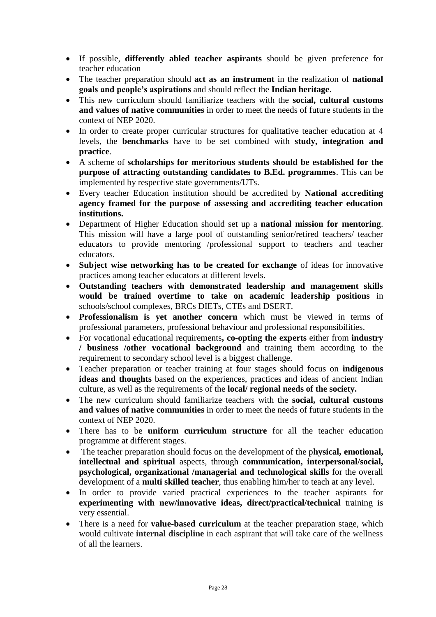- If possible, **differently abled teacher aspirants** should be given preference for teacher education
- The teacher preparation should **act as an instrument** in the realization of **national goals and people's aspirations** and should reflect the **Indian heritage**.
- This new curriculum should familiarize teachers with the **social, cultural customs and values of native communities** in order to meet the needs of future students in the context of NEP 2020.
- In order to create proper curricular structures for qualitative teacher education at 4 levels, the **benchmarks** have to be set combined with **study, integration and practice**.
- A scheme of **scholarships for meritorious students should be established for the purpose of attracting outstanding candidates to B.Ed. programmes**. This can be implemented by respective state governments/UTs.
- Every teacher Education institution should be accredited by **National accrediting agency framed for the purpose of assessing and accrediting teacher education institutions.**
- Department of Higher Education should set up a **national mission for mentoring**. This mission will have a large pool of outstanding senior/retired teachers/ teacher educators to provide mentoring /professional support to teachers and teacher educators.
- **Subject wise networking has to be created for exchange** of ideas for innovative practices among teacher educators at different levels.
- **Outstanding teachers with demonstrated leadership and management skills would be trained overtime to take on academic leadership positions** in schools/school complexes, BRCs DIETs, CTEs and DSERT.
- **Professionalism is yet another concern** which must be viewed in terms of professional parameters, professional behaviour and professional responsibilities.
- For vocational educational requirements**, co-opting the experts** either from **industry / business /other vocational background** and training them according to the requirement to secondary school level is a biggest challenge.
- Teacher preparation or teacher training at four stages should focus on **indigenous ideas and thoughts** based on the experiences, practices and ideas of ancient Indian culture, as well as the requirements of the **local/ regional needs of the society.**
- The new curriculum should familiarize teachers with the **social, cultural customs and values of native communities** in order to meet the needs of future students in the context of NEP 2020.
- There has to be **uniform curriculum structure** for all the teacher education programme at different stages.
- The teacher preparation should focus on the development of the p**hysical, emotional, intellectual and spiritual** aspects, through **communication, interpersonal/social, psychological, organizational /managerial and technological skills** for the overall development of a **multi skilled teacher**, thus enabling him/her to teach at any level.
- In order to provide varied practical experiences to the teacher aspirants for **experimenting with new/innovative ideas, direct/practical/technical** training is very essential.
- There is a need for **value-based curriculum** at the teacher preparation stage, which would cultivate **internal discipline** in each aspirant that will take care of the wellness of all the learners.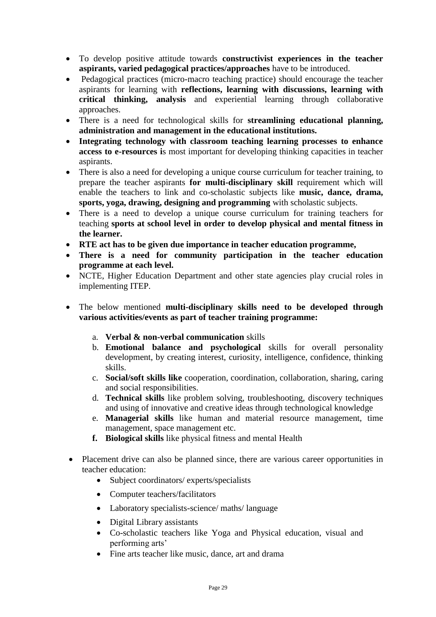- To develop positive attitude towards **constructivist experiences in the teacher aspirants, varied pedagogical practices/approaches** have to be introduced.
- Pedagogical practices (micro-macro teaching practice) should encourage the teacher aspirants for learning with **reflections, learning with discussions, learning with critical thinking, analysis** and experiential learning through collaborative approaches.
- There is a need for technological skills for **streamlining educational planning, administration and management in the educational institutions.**
- **Integrating technology with classroom teaching learning processes to enhance access to e-resources i**s most important for developing thinking capacities in teacher aspirants.
- There is also a need for developing a unique course curriculum for teacher training, to prepare the teacher aspirants **for multi-disciplinary skill** requirement which will enable the teachers to link and co-scholastic subjects like **music, dance, drama, sports, yoga, drawing, designing and programming** with scholastic subjects.
- There is a need to develop a unique course curriculum for training teachers for teaching **sports at school level in order to develop physical and mental fitness in the learner.**
- **RTE act has to be given due importance in teacher education programme,**
- **There is a need for community participation in the teacher education programme at each level.**
- NCTE, Higher Education Department and other state agencies play crucial roles in implementing ITEP.
- The below mentioned **multi-disciplinary skills need to be developed through various activities/events as part of teacher training programme:** 
	- a. **Verbal & non-verbal communication** skills
	- b. **Emotional balance and psychological** skills for overall personality development, by creating interest, curiosity, intelligence, confidence, thinking skills.
	- c. **Social/soft skills like** cooperation, coordination, collaboration, sharing, caring and social responsibilities.
	- d. **Technical skills** like problem solving, troubleshooting, discovery techniques and using of innovative and creative ideas through technological knowledge
	- e. **Managerial skills** like human and material resource management, time management, space management etc.
	- **f. Biological skills** like physical fitness and mental Health
- Placement drive can also be planned since, there are various career opportunities in teacher education:
	- Subject coordinators/ experts/specialists
	- Computer teachers/facilitators
	- Laboratory specialists-science/ maths/ language
	- Digital Library assistants
	- Co-scholastic teachers like Yoga and Physical education, visual and performing arts'
	- Fine arts teacher like music, dance, art and drama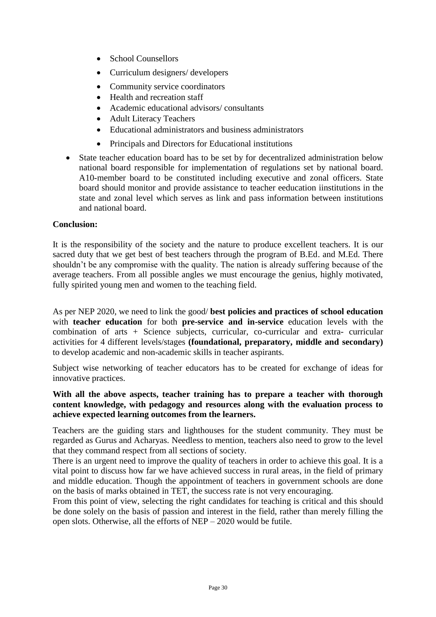- School Counsellors
- Curriculum designers/ developers
- Community service coordinators
- Health and recreation staff
- Academic educational advisors/ consultants
- Adult Literacy Teachers
- Educational administrators and business administrators
- Principals and Directors for Educational institutions
- State teacher education board has to be set by for decentralized administration below national board responsible for implementation of regulations set by national board. A10-member board to be constituted including executive and zonal officers. State board should monitor and provide assistance to teacher eeducation iinstitutions in the state and zonal level which serves as link and pass information between institutions and national board.

#### **Conclusion:**

It is the responsibility of the society and the nature to produce excellent teachers. It is our sacred duty that we get best of best teachers through the program of B.Ed. and M.Ed. There shouldn't be any compromise with the quality. The nation is already suffering because of the average teachers. From all possible angles we must encourage the genius, highly motivated, fully spirited young men and women to the teaching field.

As per NEP 2020, we need to link the good/ **best policies and practices of school education** with **teacher education** for both **pre-service and in-service** education levels with the combination of arts + Science subjects, curricular, co-curricular and extra- curricular activities for 4 different levels/stages **(foundational, preparatory, middle and secondary)**  to develop academic and non-academic skills in teacher aspirants.

Subject wise networking of teacher educators has to be created for exchange of ideas for innovative practices.

## **With all the above aspects, teacher training has to prepare a teacher with thorough content knowledge, with pedagogy and resources along with the evaluation process to achieve expected learning outcomes from the learners.**

Teachers are the guiding stars and lighthouses for the student community. They must be regarded as Gurus and Acharyas. Needless to mention, teachers also need to grow to the level that they command respect from all sections of society.

There is an urgent need to improve the quality of teachers in order to achieve this goal. It is a vital point to discuss how far we have achieved success in rural areas, in the field of primary and middle education. Though the appointment of teachers in government schools are done on the basis of marks obtained in TET, the success rate is not very encouraging.

From this point of view, selecting the right candidates for teaching is critical and this should be done solely on the basis of passion and interest in the field, rather than merely filling the open slots. Otherwise, all the efforts of NEP – 2020 would be futile.